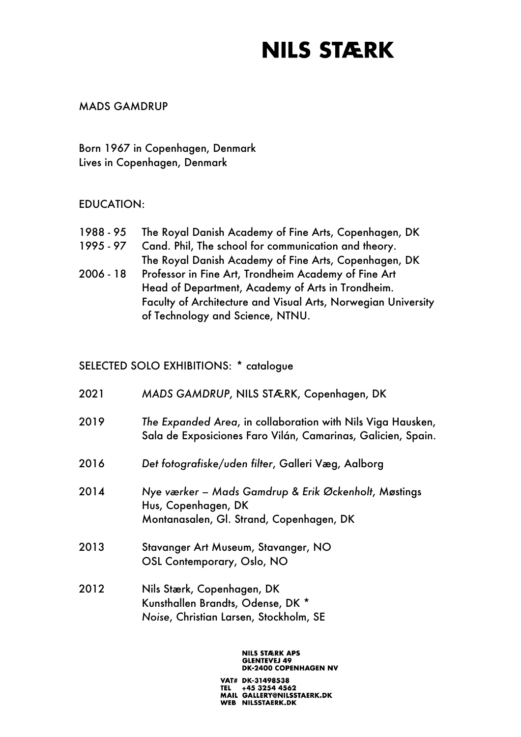#### MADS GAMDRUP

Born 1967 in Copenhagen, Denmark Lives in Copenhagen, Denmark

#### EDUCATION:

| 1988 - 95 | The Royal Danish Academy of Fine Arts, Copenhagen, DK         |
|-----------|---------------------------------------------------------------|
| 1995 - 97 | Cand. Phil, The school for communication and theory.          |
|           | The Royal Danish Academy of Fine Arts, Copenhagen, DK         |
| 2006 - 18 | Professor in Fine Art, Trondheim Academy of Fine Art          |
|           | Head of Department, Academy of Arts in Trondheim.             |
|           | Faculty of Architecture and Visual Arts, Norwegian University |
|           | of Technology and Science, NTNU.                              |

#### SELECTED SOLO EXHIBITIONS: \* catalogue

| 2021 | MADS GAMDRUP, NILS STÆRK, Copenhagen, DK                                                                                    |
|------|-----------------------------------------------------------------------------------------------------------------------------|
| 2019 | The Expanded Area, in collaboration with Nils Viga Hausken,<br>Sala de Exposiciones Faro Vilán, Camarinas, Galicien, Spain. |
| 2016 | Det fotografiske/uden filter, Galleri Væg, Aalborg                                                                          |
| 2014 | Nye værker – Mads Gamdrup & Erik Øckenholt, Møstings<br>Hus, Copenhagen, DK<br>Montanasalen, Gl. Strand, Copenhagen, DK     |
| 2013 | Stavanger Art Museum, Stavanger, NO<br>OSL Contemporary, Oslo, NO                                                           |
| 2012 | Nils Stærk, Copenhagen, DK<br>Kunsthallen Brandts, Odense, DK *<br>Noise, Christian Larsen, Stockholm, SE                   |

#### **NILS STÆRK APS GLENTEVEJ 49<br>DK-2400 COPENHAGEN NV**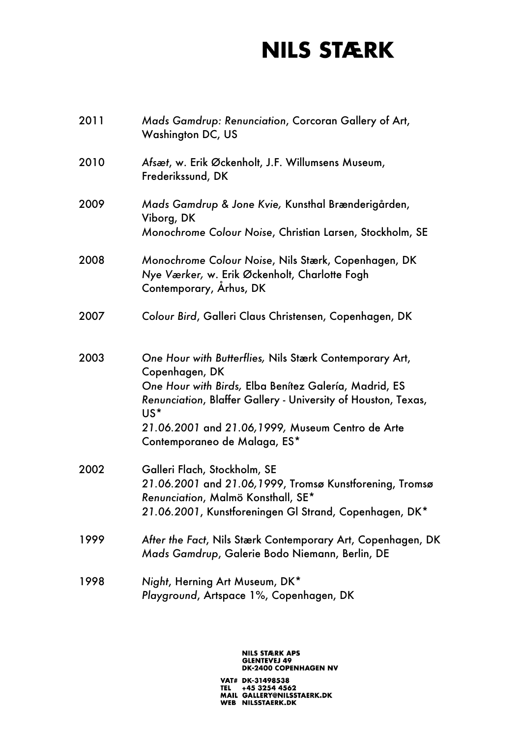| 2011 | Mads Gamdrup: Renunciation, Corcoran Gallery of Art,<br>Washington DC, US                                                                                                                                                                                                                      |
|------|------------------------------------------------------------------------------------------------------------------------------------------------------------------------------------------------------------------------------------------------------------------------------------------------|
| 2010 | Afsæt, w. Erik Øckenholt, J.F. Willumsens Museum,<br>Frederikssund, DK                                                                                                                                                                                                                         |
| 2009 | Mads Gamdrup & Jone Kvie, Kunsthal Brænderigården,<br>Viborg, DK<br>Monochrome Colour Noise, Christian Larsen, Stockholm, SE                                                                                                                                                                   |
| 2008 | Monochrome Colour Noise, Nils Stærk, Copenhagen, DK<br>Nye Værker, w. Erik Øckenholt, Charlotte Fogh<br>Contemporary, Arhus, DK                                                                                                                                                                |
| 2007 | Colour Bird, Galleri Claus Christensen, Copenhagen, DK                                                                                                                                                                                                                                         |
| 2003 | One Hour with Butterflies, Nils Stærk Contemporary Art,<br>Copenhagen, DK<br>One Hour with Birds, Elba Benítez Galería, Madrid, ES<br>Renunciation, Blaffer Gallery - University of Houston, Texas,<br>US*<br>21.06.2001 and 21.06,1999, Museum Centro de Arte<br>Contemporaneo de Malaga, ES* |
| 2002 | Galleri Flach, Stockholm, SE<br>21.06.2001 and 21.06,1999, Tromsø Kunstforening, Tromsø<br>Renunciation, Malmö Konsthall, SE*<br>21.06.2001, Kunstforeningen Gl Strand, Copenhagen, DK*                                                                                                        |
| 1999 | After the Fact, Nils Stærk Contemporary Art, Copenhagen, DK<br>Mads Gamdrup, Galerie Bodo Niemann, Berlin, DE                                                                                                                                                                                  |
| 1998 | Night, Herning Art Museum, DK*<br>Playground, Artspace 1%, Copenhagen, DK                                                                                                                                                                                                                      |

# NILS STÆRK APS<br>GLENTEVEJ 49<br>DK-2400 COPENHAGEN NV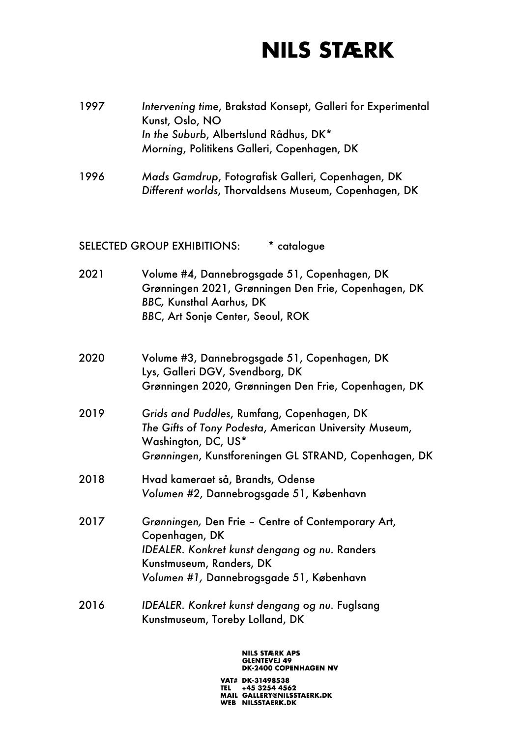- 1997 *Intervening time*, Brakstad Konsept, Galleri for Experimental Kunst, Oslo, NO *In the Suburb*, Albertslund Rådhus, DK\* *Morning*, Politikens Galleri, Copenhagen, DK
- 1996 *Mads Gamdrup*, Fotografisk Galleri, Copenhagen, DK *Different worlds*, Thorvaldsens Museum, Copenhagen, DK

SELECTED GROUP EXHIBITIONS: \* catalogue

- 2021 Volume #4, Dannebrogsgade 51, Copenhagen, DK Grønningen 2021, Grønningen Den Frie, Copenhagen, DK *BBC,* Kunsthal Aarhus, DK *BBC*, Art Sonje Center, Seoul, ROK
- 2020 Volume #3, Dannebrogsgade 51, Copenhagen, DK Lys, Galleri DGV, Svendborg, DK Grønningen 2020, Grønningen Den Frie, Copenhagen, DK
- 2019 *Grids and Puddles*, Rumfang, Copenhagen, DK *The Gifts of Tony Podesta*, American University Museum, Washington, DC, US\* *Grønningen*, Kunstforeningen GL STRAND, Copenhagen, DK
- 2018 Hvad kameraet så, Brandts, Odense *Volumen #2*, Dannebrogsgade 51, København
- 2017 *Grønningen,* Den Frie Centre of Contemporary Art, Copenhagen, DK *IDEALER. Konkret kunst dengang og nu.* Randers Kunstmuseum, Randers, DK *Volumen #1,* Dannebrogsgade 51, København
- 2016 *IDEALER. Konkret kunst dengang og nu.* Fuglsang Kunstmuseum, Toreby Lolland, DK

#### **NILS STÆRK APS GLENTEVEJ 49 DK-2400 COPENHAGEN NV**

VAT# DK-31498538 +45 3254 4562 MAIL GALLERY@NILSSTAERK.DK WEB NILSSTAERK.DK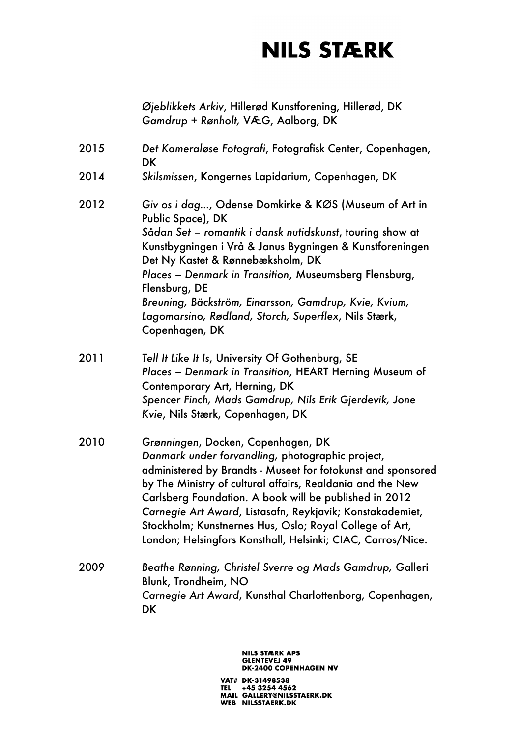*Øjeblikkets Arkiv*, Hillerød Kunstforening, Hillerød, DK *Gamdrup + Rønholt,* VÆG, Aalborg, DK

- 2015 *Det Kameraløse Fotografi*, Fotografisk Center, Copenhagen, **DK**
- 2014 *Skilsmissen*, Kongernes Lapidarium, Copenhagen, DK
- 2012 *Giv os i dag…*, Odense Domkirke & KØS (Museum of Art in Public Space), DK *Sådan Set – romantik i dansk nutidskunst*, touring show at Kunstbygningen i Vrå & Janus Bygningen & Kunstforeningen Det Ny Kastet & Rønnebæksholm, DK *Places – Denmark in Transition*, Museumsberg Flensburg, Flensburg, DE *Breuning, Bäckström, Einarsson, Gamdrup, Kvie, Kvium, Lagomarsino, Rødland, Storch, Superflex*, Nils Stærk, Copenhagen, DK
- 2011 *Tell It Like It Is*, University Of Gothenburg, SE *Places – Denmark in Transition*, HEART Herning Museum of Contemporary Art, Herning, DK *Spencer Finch, Mads Gamdrup, Nils Erik Gjerdevik, Jone Kvie*, Nils Stærk, Copenhagen, DK
- 2010 *Grønningen*, Docken, Copenhagen, DK *Danmark under forvandling,* photographic project, administered by Brandts - Museet for fotokunst and sponsored by The Ministry of cultural affairs, Realdania and the New Carlsberg Foundation. A book will be published in 2012 *Carnegie Art Award*, Listasafn, Reykjavik; Konstakademiet, Stockholm; Kunstnernes Hus, Oslo; Royal College of Art, London; Helsingfors Konsthall, Helsinki; CIAC, Carros/Nice.
- 2009 *Beathe Rønning, Christel Sverre og Mads Gamdrup,* Galleri Blunk, Trondheim, NO *Carnegie Art Award*, Kunsthal Charlottenborg, Copenhagen, **DK**

**NILS STÆRK APS GLENTEVEJ 49 DK-2400 COPENHAGEN NV**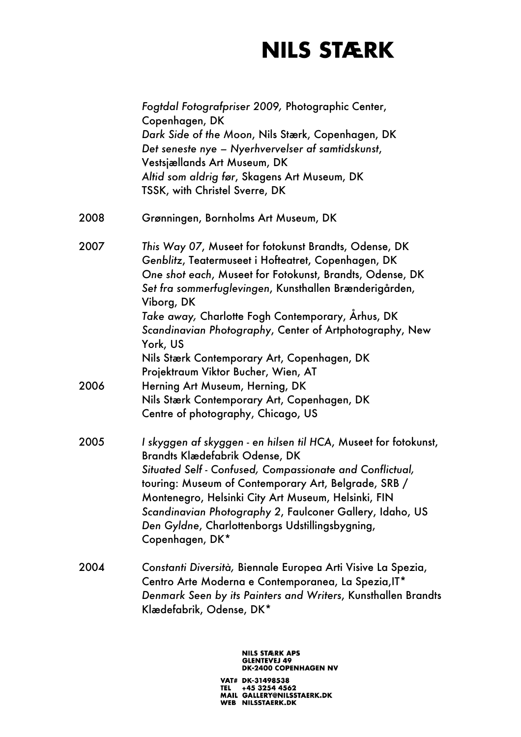|      | Fogtdal Fotografpriser 2009, Photographic Center,<br>Copenhagen, DK<br>Dark Side of the Moon, Nils Stærk, Copenhagen, DK<br>Det seneste nye – Nyerhvervelser af samtidskunst,<br>Vestsjællands Art Museum, DK<br>Altid som aldrig før, Skagens Art Museum, DK<br>TSSK, with Christel Sverre, DK                                                                                                                             |
|------|-----------------------------------------------------------------------------------------------------------------------------------------------------------------------------------------------------------------------------------------------------------------------------------------------------------------------------------------------------------------------------------------------------------------------------|
| 2008 | Grønningen, Bornholms Art Museum, DK                                                                                                                                                                                                                                                                                                                                                                                        |
| 2007 | This Way 07, Museet for fotokunst Brandts, Odense, DK<br>Genblitz, Teatermuseet i Hofteatret, Copenhagen, DK<br>One shot each, Museet for Fotokunst, Brandts, Odense, DK<br>Set fra sommerfuglevingen, Kunsthallen Brænderigården,<br>Viborg, DK<br>Take away, Charlotte Fogh Contemporary, Arhus, DK<br>Scandinavian Photography, Center of Artphotography, New<br>York, US<br>Nils Stærk Contemporary Art, Copenhagen, DK |
|      | Projektraum Viktor Bucher, Wien, AT                                                                                                                                                                                                                                                                                                                                                                                         |
| 2006 | Herning Art Museum, Herning, DK<br>Nils Stærk Contemporary Art, Copenhagen, DK<br>Centre of photography, Chicago, US                                                                                                                                                                                                                                                                                                        |
| 2005 | I skyggen af skyggen - en hilsen til HCA, Museet for fotokunst,<br>Brandts Klædefabrik Odense, DK<br>Situated Self - Confused, Compassionate and Conflictual,<br>touring: Museum of Contemporary Art, Belgrade, SRB /<br>Montenegro, Helsinki City Art Museum, Helsinki, FIN<br>Scandinavian Photography 2, Faulconer Gallery, Idaho, US<br>Den Gyldne, Charlottenborgs Udstillingsbygning,<br>Copenhagen, DK*              |
| 2004 | Constanti Diversità, Biennale Europea Arti Visive La Spezia,<br>Centro Arte Moderna e Contemporanea, La Spezia, IT*<br>Denmark Seen by its Painters and Writers, Kunsthallen Brandts<br>Klædefabrik, Odense, DK*                                                                                                                                                                                                            |

# NILS STÆRK APS<br>GLENTEVEJ 49<br>DK-2400 COPENHAGEN NV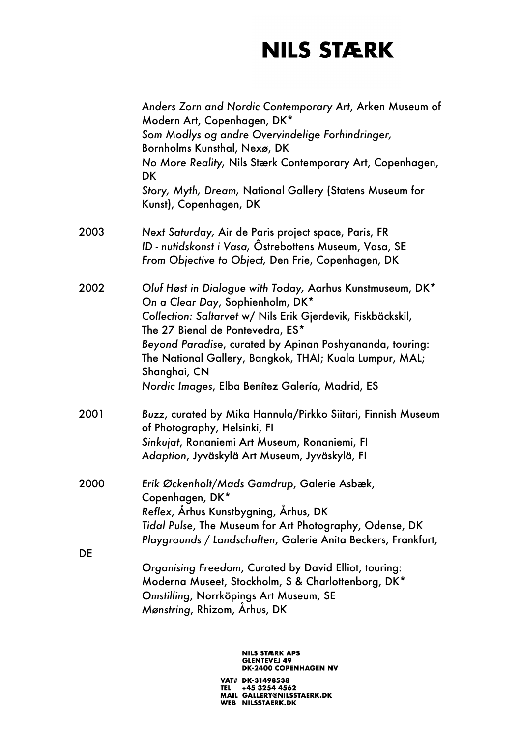|      | Anders Zorn and Nordic Contemporary Art, Arken Museum of<br>Modern Art, Copenhagen, DK*<br>Som Modlys og andre Overvindelige Forhindringer,<br>Bornholms Kunsthal, Nexø, DK<br>No More Reality, Nils Stærk Contemporary Art, Copenhagen,<br>DK<br>Story, Myth, Dream, National Gallery (Statens Museum for<br>Kunst), Copenhagen, DK                                                       |
|------|--------------------------------------------------------------------------------------------------------------------------------------------------------------------------------------------------------------------------------------------------------------------------------------------------------------------------------------------------------------------------------------------|
| 2003 | Next Saturday, Air de Paris project space, Paris, FR<br>ID - nutidskonst i Vasa, Östrebottens Museum, Vasa, SE<br>From Objective to Object, Den Frie, Copenhagen, DK                                                                                                                                                                                                                       |
| 2002 | Oluf Høst in Dialogue with Today, Aarhus Kunstmuseum, DK*<br>On a Clear Day, Sophienholm, DK*<br>Collection: Saltarvet w/ Nils Erik Gjerdevik, Fiskbäckskil,<br>The 27 Bienal de Pontevedra, ES*<br>Beyond Paradise, curated by Apinan Poshyananda, touring:<br>The National Gallery, Bangkok, THAI; Kuala Lumpur, MAL;<br>Shanghai, CN<br>Nordic Images, Elba Benítez Galería, Madrid, ES |
| 2001 | Buzz, curated by Mika Hannula/Pirkko Siitari, Finnish Museum<br>of Photography, Helsinki, FI<br>Sinkujat, Ronaniemi Art Museum, Ronaniemi, Fl<br>Adaption, Jyväskylä Art Museum, Jyväskylä, FI                                                                                                                                                                                             |
| 2000 | Erik Øckenholt/Mads Gamdrup, Galerie Asbæk,<br>Copenhagen, DK*<br>Reflex, Århus Kunstbygning, Århus, DK<br>Tidal Pulse, The Museum for Art Photography, Odense, DK<br>Playgrounds / Landschaften, Galerie Anita Beckers, Frankfurt,                                                                                                                                                        |
| DE   | Organising Freedom, Curated by David Elliot, touring:<br>Moderna Museet, Stockholm, S & Charlottenborg, DK*<br>Omstilling, Norrköpings Art Museum, SE<br>Mønstring, Rhizom, Arhus, DK                                                                                                                                                                                                      |

# NILS STÆRK APS<br>GLENTEVEJ 49<br>DK-2400 COPENHAGEN NV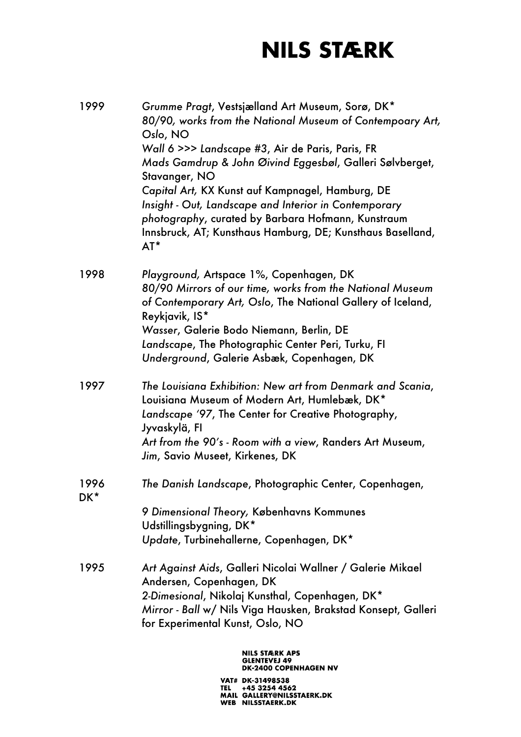| 1999        | Grumme Pragt, Vestsjælland Art Museum, Sorø, DK*<br>80/90, works from the National Museum of Contempoary Art,<br>Oslo, NO<br>Wall 6 >>> Landscape #3, Air de Paris, Paris, FR<br>Mads Gamdrup & John Øivind Eggesbøl, Galleri Sølvberget,<br>Stavanger, NO<br>Capital Art, KX Kunst auf Kampnagel, Hamburg, DE<br>Insight - Out, Landscape and Interior in Contemporary<br>photography, curated by Barbara Hofmann, Kunstraum<br>Innsbruck, AT; Kunsthaus Hamburg, DE; Kunsthaus Baselland,<br>$AT^*$ |
|-------------|-------------------------------------------------------------------------------------------------------------------------------------------------------------------------------------------------------------------------------------------------------------------------------------------------------------------------------------------------------------------------------------------------------------------------------------------------------------------------------------------------------|
| 1998        | Playground, Artspace 1%, Copenhagen, DK<br>80/90 Mirrors of our time, works from the National Museum<br>of Contemporary Art, Oslo, The National Gallery of Iceland,<br>Reykjavik, IS*<br>Wasser, Galerie Bodo Niemann, Berlin, DE<br>Landscape, The Photographic Center Peri, Turku, FI<br>Underground, Galerie Asbæk, Copenhagen, DK                                                                                                                                                                 |
| 1997        | The Louisiana Exhibition: New art from Denmark and Scania,<br>Louisiana Museum of Modern Art, Humlebæk, DK*<br>Landscape '97, The Center for Creative Photography,<br>Jyvaskylä, FI<br>Art from the 90's - Room with a view, Randers Art Museum,<br>Jim, Savio Museet, Kirkenes, DK                                                                                                                                                                                                                   |
| 1996<br>DK* | The Danish Landscape, Photographic Center, Copenhagen,<br>9 Dimensional Theory, Københavns Kommunes<br>Udstillingsbygning, DK*<br>Update, Turbinehallerne, Copenhagen, DK*                                                                                                                                                                                                                                                                                                                            |
| 1995        | Art Against Aids, Galleri Nicolai Wallner / Galerie Mikael<br>Andersen, Copenhagen, DK<br>2-Dimesional, Nikolaj Kunsthal, Copenhagen, DK*<br>Mirror - Ball w/ Nils Viga Hausken, Brakstad Konsept, Galleri<br>for Experimental Kunst, Oslo, NO                                                                                                                                                                                                                                                        |

# NILS STÆRK APS<br>GLENTEVEJ 49<br>DK-2400 COPENHAGEN NV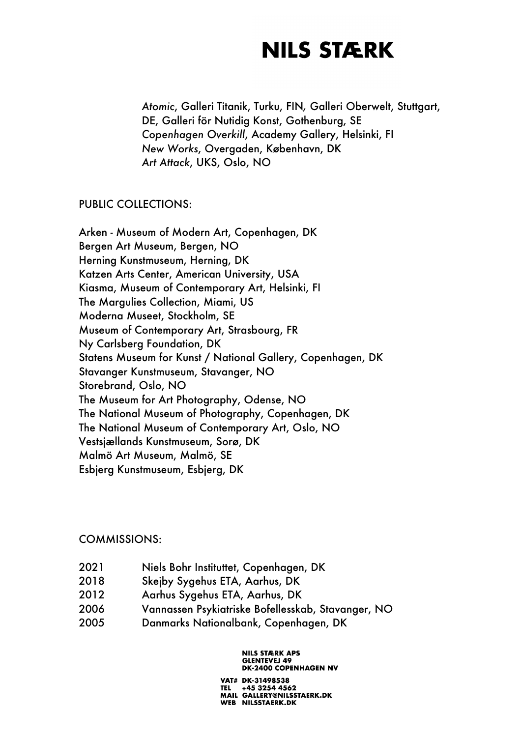*Atomic*, Galleri Titanik, Turku, FIN*,* Galleri Oberwelt, Stuttgart, DE, Galleri för Nutidig Konst, Gothenburg, SE *Copenhagen Overkill*, Academy Gallery, Helsinki, FI *New Works*, Overgaden, København, DK *Art Attack*, UKS, Oslo, NO

#### PUBLIC COLLECTIONS:

Arken - Museum of Modern Art, Copenhagen, DK Bergen Art Museum, Bergen, NO Herning Kunstmuseum, Herning, DK Katzen Arts Center, American University, USA Kiasma, Museum of Contemporary Art, Helsinki, FI The Margulies Collection, Miami, US Moderna Museet, Stockholm, SE Museum of Contemporary Art, Strasbourg, FR Ny Carlsberg Foundation, DK Statens Museum for Kunst / National Gallery, Copenhagen, DK Stavanger Kunstmuseum, Stavanger, NO Storebrand, Oslo, NO The Museum for Art Photography, Odense, NO The National Museum of Photography, Copenhagen, DK The National Museum of Contemporary Art, Oslo, NO Vestsjællands Kunstmuseum, Sorø, DK Malmö Art Museum, Malmö, SE Esbjerg Kunstmuseum, Esbjerg, DK

#### COMMISSIONS:

- 2021 Niels Bohr Instituttet, Copenhagen, DK
- 2018 Skejby Sygehus ETA, Aarhus, DK
- 2012 Aarhus Sygehus ETA, Aarhus, DK
- 2006 Vannassen Psykiatriske Bofellesskab, Stavanger, NO
- 2005 Danmarks Nationalbank, Copenhagen, DK

#### **NILS STÆRK APS GLENTEVEJ 49 DK-2400 COPENHAGEN NV**